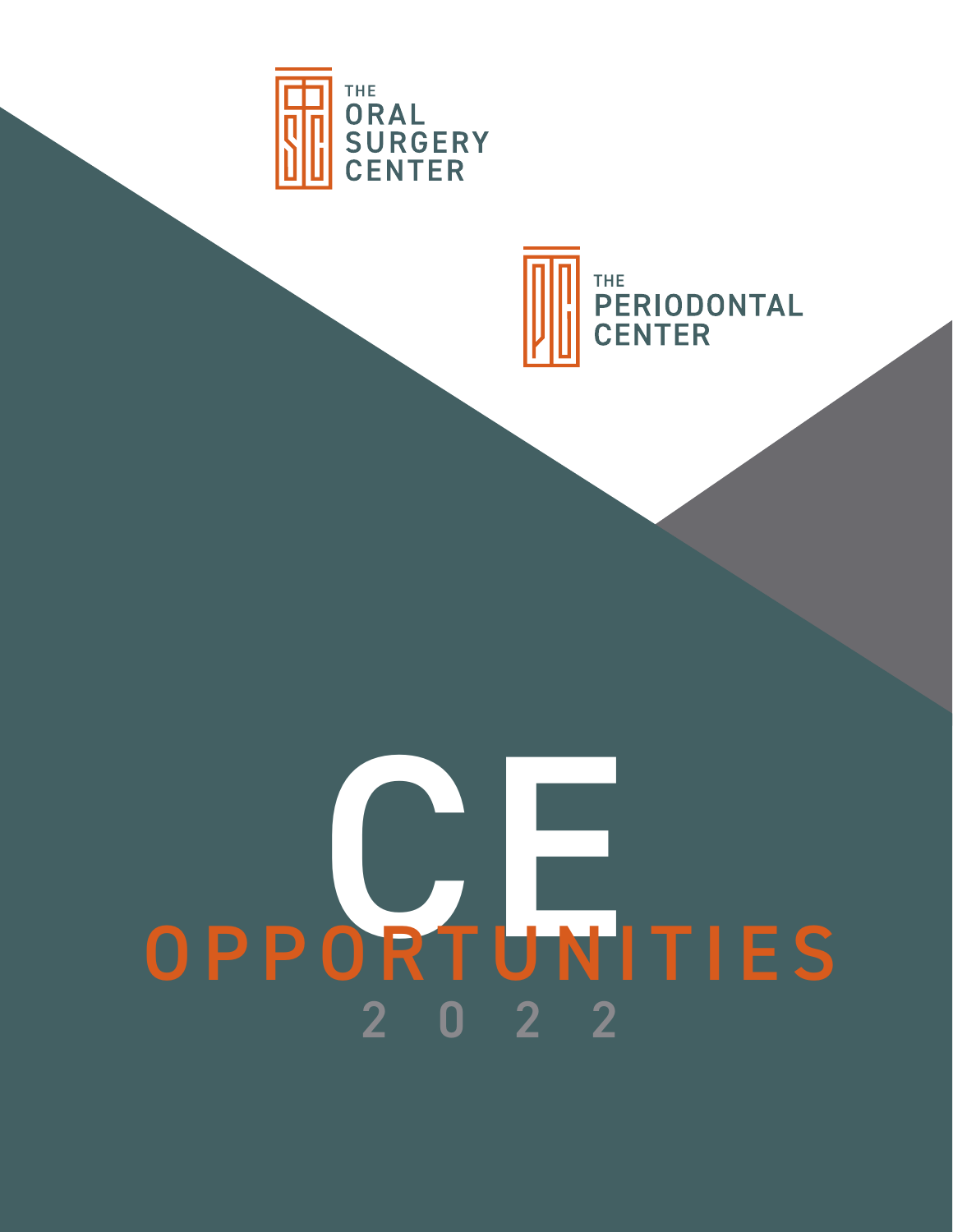



# 2022 OPPORTUNITIES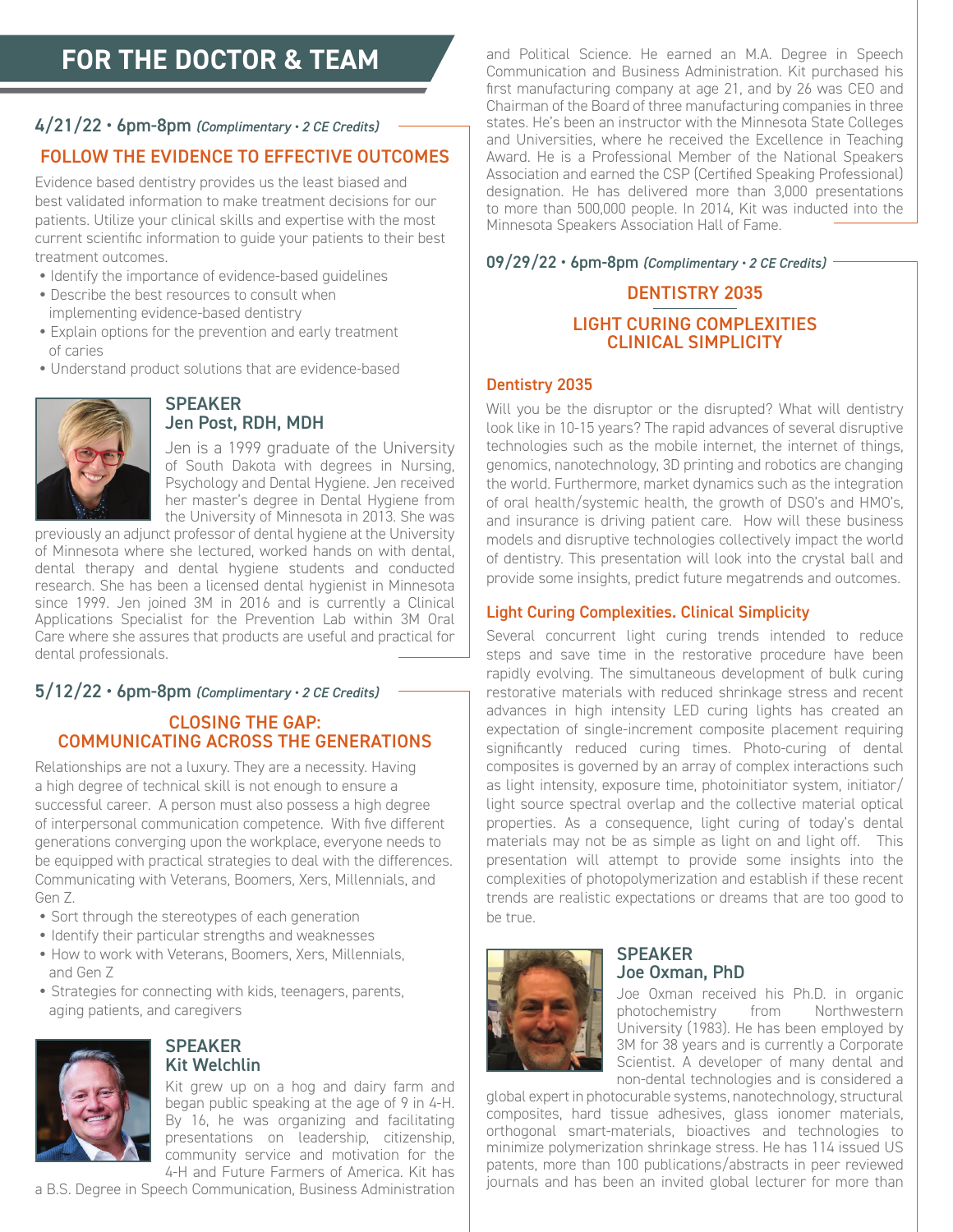# **FOR THE DOCTOR & TEAM**

#### 4/21/22 • 6pm-8pm *(Complimentary • 2 CE Credits)*

#### FOLLOW THE EVIDENCE TO EFFECTIVE OUTCOMES

Evidence based dentistry provides us the least biased and best validated information to make treatment decisions for our patients. Utilize your clinical skills and expertise with the most current scientific information to guide your patients to their best treatment outcomes.

- Identify the importance of evidence-based guidelines
- Describe the best resources to consult when implementing evidence-based dentistry
- Explain options for the prevention and early treatment of caries
- Understand product solutions that are evidence-based



#### **SPEAKER** Jen Post, RDH, MDH

Jen is a 1999 graduate of the University of South Dakota with degrees in Nursing, Psychology and Dental Hygiene. Jen received her master's degree in Dental Hygiene from the University of Minnesota in 2013. She was

previously an adjunct professor of dental hygiene at the University of Minnesota where she lectured, worked hands on with dental, dental therapy and dental hygiene students and conducted research. She has been a licensed dental hygienist in Minnesota since 1999. Jen joined 3M in 2016 and is currently a Clinical Applications Specialist for the Prevention Lab within 3M Oral Care where she assures that products are useful and practical for dental professionals.

#### 5/12/22 • 6pm-8pm *(Complimentary • 2 CE Credits)*

#### CLOSING THE GAP: COMMUNICATING ACROSS THE GENERATIONS

Relationships are not a luxury. They are a necessity. Having a high degree of technical skill is not enough to ensure a successful career. A person must also possess a high degree of interpersonal communication competence. With five different generations converging upon the workplace, everyone needs to be equipped with practical strategies to deal with the differences. Communicating with Veterans, Boomers, Xers, Millennials, and Gen Z.

- Sort through the stereotypes of each generation
- Identify their particular strengths and weaknesses
- How to work with Veterans, Boomers, Xers, Millennials, and Gen Z
- Strategies for connecting with kids, teenagers, parents, aging patients, and caregivers



#### **SPEAKER** Kit Welchlin

Kit grew up on a hog and dairy farm and began public speaking at the age of 9 in 4-H. By 16, he was organizing and facilitating presentations on leadership, citizenship, community service and motivation for the 4-H and Future Farmers of America. Kit has

a B.S. Degree in Speech Communication, Business Administration

and Political Science. He earned an M.A. Degree in Speech Communication and Business Administration. Kit purchased his first manufacturing company at age 21, and by 26 was CEO and Chairman of the Board of three manufacturing companies in three states. He's been an instructor with the Minnesota State Colleges and Universities, where he received the Excellence in Teaching Award. He is a Professional Member of the National Speakers Association and earned the CSP (Certified Speaking Professional) designation. He has delivered more than 3,000 presentations to more than 500,000 people. In 2014, Kit was inducted into the Minnesota Speakers Association Hall of Fame.

09/29/22 • 6pm-8pm *(Complimentary • 2 CE Credits)*

#### DENTISTRY 2035 LIGHT CURING COMPLEXITIES CLINICAL SIMPLICITY

#### Dentistry 2035

Will you be the disruptor or the disrupted? What will dentistry look like in 10-15 years? The rapid advances of several disruptive technologies such as the mobile internet, the internet of things, genomics, nanotechnology, 3D printing and robotics are changing the world. Furthermore, market dynamics such as the integration of oral health/systemic health, the growth of DSO's and HMO's, and insurance is driving patient care. How will these business models and disruptive technologies collectively impact the world of dentistry. This presentation will look into the crystal ball and provide some insights, predict future megatrends and outcomes.

#### Light Curing Complexities. Clinical Simplicity

Several concurrent light curing trends intended to reduce steps and save time in the restorative procedure have been rapidly evolving. The simultaneous development of bulk curing restorative materials with reduced shrinkage stress and recent advances in high intensity LED curing lights has created an expectation of single-increment composite placement requiring significantly reduced curing times. Photo-curing of dental composites is governed by an array of complex interactions such as light intensity, exposure time, photoinitiator system, initiator/ light source spectral overlap and the collective material optical properties. As a consequence, light curing of today's dental materials may not be as simple as light on and light off. This presentation will attempt to provide some insights into the complexities of photopolymerization and establish if these recent trends are realistic expectations or dreams that are too good to be true.



#### **SPEAKER** Joe Oxman, PhD

Joe Oxman received his Ph.D. in organic<br>photochemistry from Northwestern from Northwestern University (1983). He has been employed by 3M for 38 years and is currently a Corporate Scientist. A developer of many dental and non-dental technologies and is considered a

global expert in photocurable systems, nanotechnology, structural composites, hard tissue adhesives, glass ionomer materials, orthogonal smart-materials, bioactives and technologies to minimize polymerization shrinkage stress. He has 114 issued US patents, more than 100 publications/abstracts in peer reviewed journals and has been an invited global lecturer for more than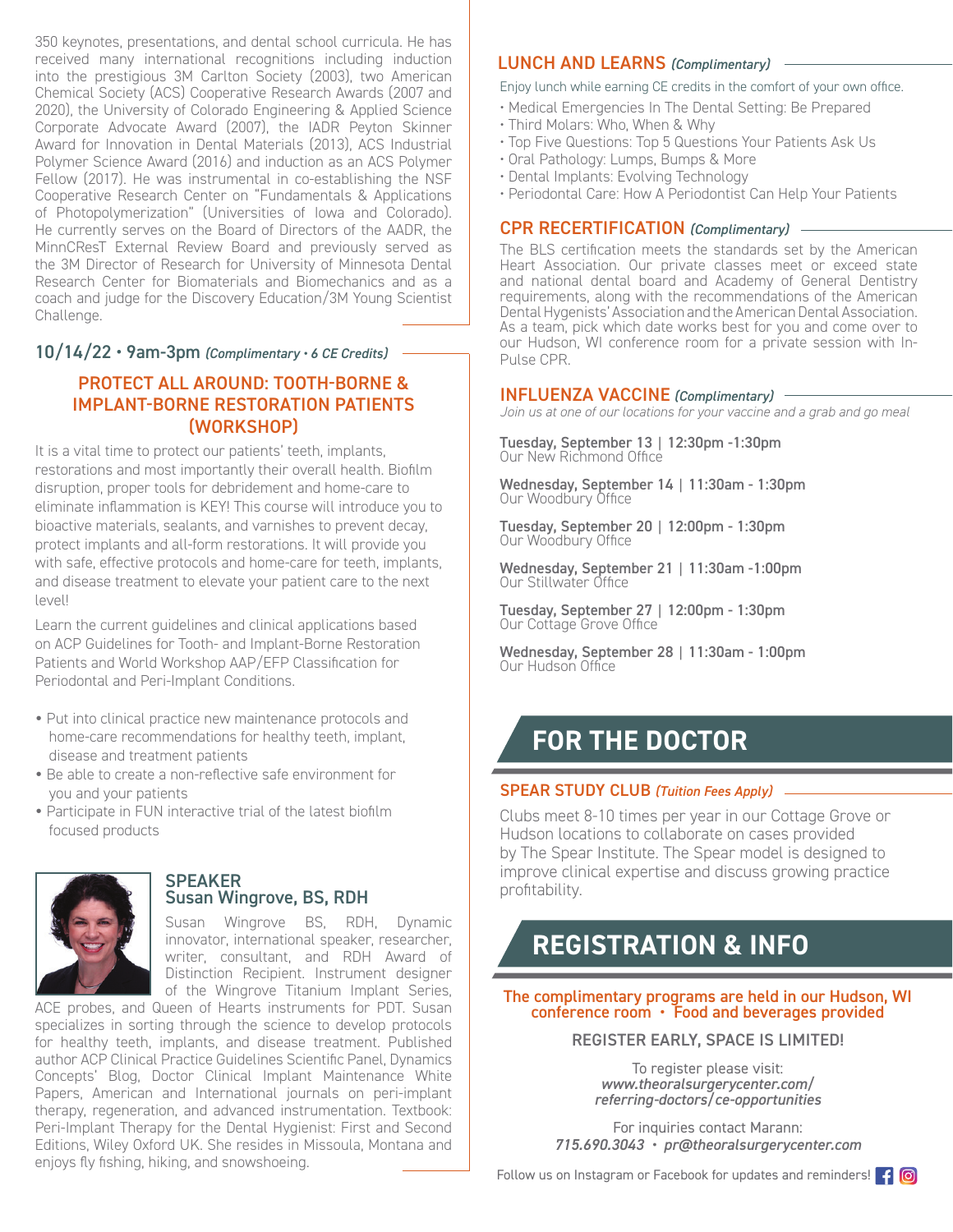350 keynotes, presentations, and dental school curricula. He has received many international recognitions including induction into the prestigious 3M Carlton Society (2003), two American Chemical Society (ACS) Cooperative Research Awards (2007 and 2020), the University of Colorado Engineering & Applied Science Corporate Advocate Award (2007), the IADR Peyton Skinner Award for Innovation in Dental Materials (2013), ACS Industrial Polymer Science Award (2016) and induction as an ACS Polymer Fellow (2017). He was instrumental in co-establishing the NSF Cooperative Research Center on "Fundamentals & Applications of Photopolymerization" (Universities of Iowa and Colorado). He currently serves on the Board of Directors of the AADR, the MinnCResT External Review Board and previously served as the 3M Director of Research for University of Minnesota Dental Research Center for Biomaterials and Biomechanics and as a coach and judge for the Discovery Education/3M Young Scientist Challenge.

#### 10/14/22 • 9am-3pm *(Complimentary • 6 CE Credits)*

#### PROTECT ALL AROUND: TOOTH-BORNE & IMPLANT-BORNE RESTORATION PATIENTS (WORKSHOP)

It is a vital time to protect our patients' teeth, implants, restorations and most importantly their overall health. Biofilm disruption, proper tools for debridement and home-care to eliminate inflammation is KEY! This course will introduce you to bioactive materials, sealants, and varnishes to prevent decay, protect implants and all-form restorations. It will provide you with safe, effective protocols and home-care for teeth, implants, and disease treatment to elevate your patient care to the next level!

Learn the current guidelines and clinical applications based on ACP Guidelines for Tooth- and Implant-Borne Restoration Patients and World Workshop AAP/EFP Classification for Periodontal and Peri-Implant Conditions.

- Put into clinical practice new maintenance protocols and home-care recommendations for healthy teeth, implant, disease and treatment patients
- Be able to create a non-reflective safe environment for you and your patients
- Participate in FUN interactive trial of the latest biofilm focused products



#### **SPEAKER** Susan Wingrove, BS, RDH

Susan Wingrove BS, RDH, Dynamic innovator, international speaker, researcher, writer, consultant, and RDH Award of Distinction Recipient. Instrument designer of the Wingrove Titanium Implant Series,

ACE probes, and Queen of Hearts instruments for PDT. Susan specializes in sorting through the science to develop protocols for healthy teeth, implants, and disease treatment. Published author ACP Clinical Practice Guidelines Scientific Panel, Dynamics Concepts' Blog, Doctor Clinical Implant Maintenance White Papers, American and International journals on peri-implant therapy, regeneration, and advanced instrumentation. Textbook: Peri-Implant Therapy for the Dental Hygienist: First and Second Editions, Wiley Oxford UK. She resides in Missoula, Montana and enjoys fly fishing, hiking, and snowshoeing.

#### LUNCH AND LEARNS *(Complimentary)*

#### Enjoy lunch while earning CE credits in the comfort of your own office.

- Medical Emergencies In The Dental Setting: Be Prepared
- Third Molars: Who, When & Why
- Top Five Questions: Top 5 Questions Your Patients Ask Us
- Oral Pathology: Lumps, Bumps & More
- Dental Implants: Evolving Technology
- Periodontal Care: How A Periodontist Can Help Your Patients

#### CPR RECERTIFICATION *(Complimentary)*

The BLS certification meets the standards set by the American Heart Association. Our private classes meet or exceed state and national dental board and Academy of General Dentistry requirements, along with the recommendations of the American Dental Hygenists' Association and the American Dental Association. As a team, pick which date works best for you and come over to our Hudson, WI conference room for a private session with In-Pulse CPR.

#### INFLUENZA VACCINE *(Complimentary)*

*Join us at one of our locations for your vaccine and a grab and go meal*

Tuesday, September 13 | 12:30pm -1:30pm Our New Richmond Office

Wednesday, September 14 | 11:30am - 1:30pm Our Woodbury Office

Tuesday, September 20 | 12:00pm - 1:30pm Our Woodbury Office

Wednesday, September 21 | 11:30am -1:00pm Our Stillwater Office

Tuesday, September 27 | 12:00pm - 1:30pm Our Cottage Grove Office

Wednesday, September 28 | 11:30am - 1:00pm Our Hudson Office

### **FOR THE DOCTOR**

#### SPEAR STUDY CLUB *(Tuition Fees Apply)*

Clubs meet 8-10 times per year in our Cottage Grove or Hudson locations to collaborate on cases provided by The Spear Institute. The Spear model is designed to improve clinical expertise and discuss growing practice profitability.

## **REGISTRATION & INFO**

The complimentary programs are held in our Hudson, WI conference room • Food and beverages provided

REGISTER EARLY, SPACE IS LIMITED!

To register please visit: *www.theoralsurgerycenter.com/ referring-doctors/ce-opportunities*

For inquiries contact Marann: *715.690.3043 • pr@theoralsurgerycenter.com*

Follow us on Instagram or Facebook for updates and reminders!